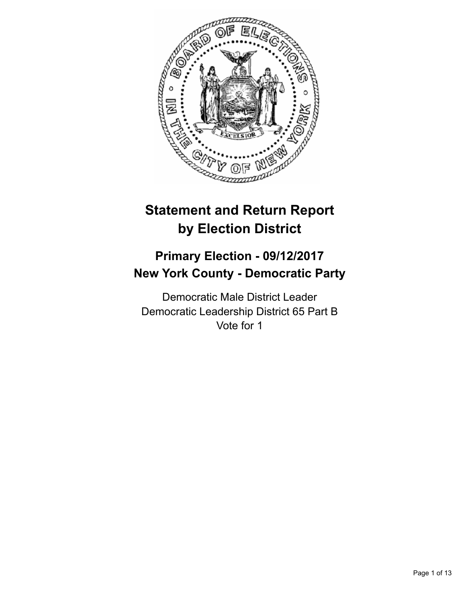

# **Statement and Return Report by Election District**

## **Primary Election - 09/12/2017 New York County - Democratic Party**

Democratic Male District Leader Democratic Leadership District 65 Part B Vote for 1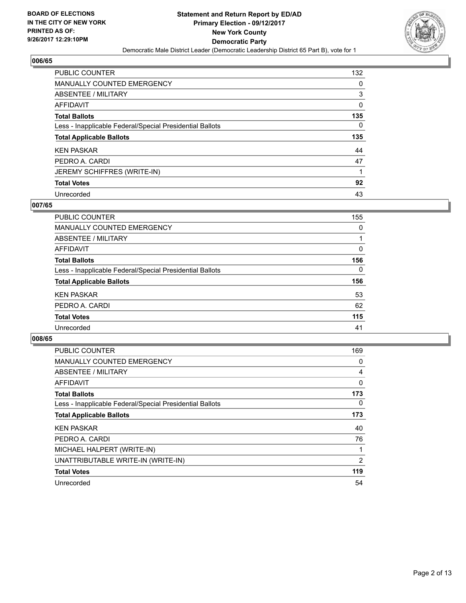

| <b>PUBLIC COUNTER</b>                                    | 132 |
|----------------------------------------------------------|-----|
| <b>MANUALLY COUNTED EMERGENCY</b>                        | 0   |
| ABSENTEE / MILITARY                                      | 3   |
| AFFIDAVIT                                                | 0   |
| <b>Total Ballots</b>                                     | 135 |
| Less - Inapplicable Federal/Special Presidential Ballots | 0   |
|                                                          |     |
| <b>Total Applicable Ballots</b>                          | 135 |
| <b>KEN PASKAR</b>                                        | 44  |
| PEDRO A. CARDI                                           | 47  |
| <b>JEREMY SCHIFFRES (WRITE-IN)</b>                       |     |
| <b>Total Votes</b>                                       | 92  |

#### **007/65**

| <b>PUBLIC COUNTER</b>                                    | 155          |
|----------------------------------------------------------|--------------|
| <b>MANUALLY COUNTED EMERGENCY</b>                        | 0            |
| ABSENTEE / MILITARY                                      |              |
| AFFIDAVIT                                                | 0            |
| <b>Total Ballots</b>                                     | 156          |
| Less - Inapplicable Federal/Special Presidential Ballots | $\mathbf{0}$ |
| <b>Total Applicable Ballots</b>                          | 156          |
| <b>KEN PASKAR</b>                                        | 53           |
| PEDRO A. CARDI                                           | 62           |
| <b>Total Votes</b>                                       | 115          |
| Unrecorded                                               | 41           |

| <b>PUBLIC COUNTER</b>                                    | 169 |
|----------------------------------------------------------|-----|
| <b>MANUALLY COUNTED EMERGENCY</b>                        | 0   |
| ABSENTEE / MILITARY                                      | 4   |
| <b>AFFIDAVIT</b>                                         | 0   |
| <b>Total Ballots</b>                                     | 173 |
| Less - Inapplicable Federal/Special Presidential Ballots | 0   |
| <b>Total Applicable Ballots</b>                          | 173 |
| <b>KEN PASKAR</b>                                        | 40  |
| PEDRO A. CARDI                                           | 76  |
| MICHAEL HALPERT (WRITE-IN)                               |     |
| UNATTRIBUTABLE WRITE-IN (WRITE-IN)                       | 2   |
| <b>Total Votes</b>                                       | 119 |
| Unrecorded                                               | 54  |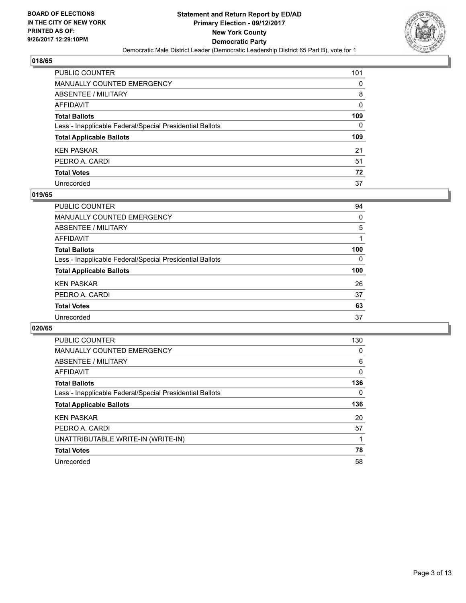

| PUBLIC COUNTER                                           | 101 |
|----------------------------------------------------------|-----|
| MANUALLY COUNTED EMERGENCY                               | 0   |
| ABSENTEE / MILITARY                                      | 8   |
| AFFIDAVIT                                                | 0   |
| <b>Total Ballots</b>                                     | 109 |
| Less - Inapplicable Federal/Special Presidential Ballots | 0   |
| <b>Total Applicable Ballots</b>                          | 109 |
| KEN PASKAR                                               | 21  |
| PEDRO A. CARDI                                           | 51  |
| <b>Total Votes</b>                                       | 72  |
| Unrecorded                                               | 37  |

#### **019/65**

| <b>PUBLIC COUNTER</b>                                    | 94  |
|----------------------------------------------------------|-----|
| MANUALLY COUNTED EMERGENCY                               | 0   |
| ABSENTEE / MILITARY                                      | 5   |
| AFFIDAVIT                                                |     |
| <b>Total Ballots</b>                                     | 100 |
| Less - Inapplicable Federal/Special Presidential Ballots | 0   |
| <b>Total Applicable Ballots</b>                          | 100 |
| <b>KEN PASKAR</b>                                        | 26  |
| PEDRO A. CARDI                                           | 37  |
| <b>Total Votes</b>                                       | 63  |
| Unrecorded                                               | 37  |

| <b>PUBLIC COUNTER</b>                                    | 130 |
|----------------------------------------------------------|-----|
| MANUALLY COUNTED EMERGENCY                               | 0   |
| ABSENTEE / MILITARY                                      | 6   |
| AFFIDAVIT                                                | 0   |
| <b>Total Ballots</b>                                     | 136 |
| Less - Inapplicable Federal/Special Presidential Ballots | 0   |
| <b>Total Applicable Ballots</b>                          | 136 |
| <b>KEN PASKAR</b>                                        | 20  |
| PEDRO A. CARDI                                           | 57  |
| UNATTRIBUTABLE WRITE-IN (WRITE-IN)                       |     |
| <b>Total Votes</b>                                       | 78  |
| Unrecorded                                               | 58  |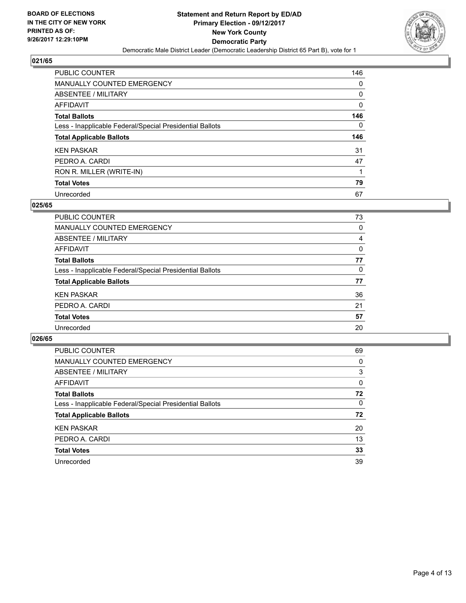

| <b>PUBLIC COUNTER</b>                                    | 146 |
|----------------------------------------------------------|-----|
| <b>MANUALLY COUNTED EMERGENCY</b>                        | 0   |
| ABSENTEE / MILITARY                                      | 0   |
| AFFIDAVIT                                                | 0   |
| <b>Total Ballots</b>                                     | 146 |
| Less - Inapplicable Federal/Special Presidential Ballots | 0   |
|                                                          |     |
| <b>Total Applicable Ballots</b>                          | 146 |
| <b>KEN PASKAR</b>                                        | 31  |
| PEDRO A. CARDI                                           | 47  |
| RON R. MILLER (WRITE-IN)                                 |     |
| <b>Total Votes</b>                                       | 79  |

#### **025/65**

| <b>PUBLIC COUNTER</b>                                    | 73 |
|----------------------------------------------------------|----|
| <b>MANUALLY COUNTED EMERGENCY</b>                        | 0  |
| ABSENTEE / MILITARY                                      | 4  |
| AFFIDAVIT                                                | 0  |
| <b>Total Ballots</b>                                     | 77 |
| Less - Inapplicable Federal/Special Presidential Ballots | 0  |
| <b>Total Applicable Ballots</b>                          | 77 |
| <b>KEN PASKAR</b>                                        | 36 |
| PEDRO A. CARDI                                           | 21 |
| <b>Total Votes</b>                                       | 57 |
| Unrecorded                                               | 20 |

| <b>PUBLIC COUNTER</b>                                    | 69 |
|----------------------------------------------------------|----|
| MANUALLY COUNTED EMERGENCY                               | 0  |
| ABSENTEE / MILITARY                                      | 3  |
| AFFIDAVIT                                                | 0  |
| <b>Total Ballots</b>                                     | 72 |
| Less - Inapplicable Federal/Special Presidential Ballots | 0  |
| <b>Total Applicable Ballots</b>                          | 72 |
| <b>KEN PASKAR</b>                                        | 20 |
| PEDRO A. CARDI                                           | 13 |
| <b>Total Votes</b>                                       | 33 |
| Unrecorded                                               | 39 |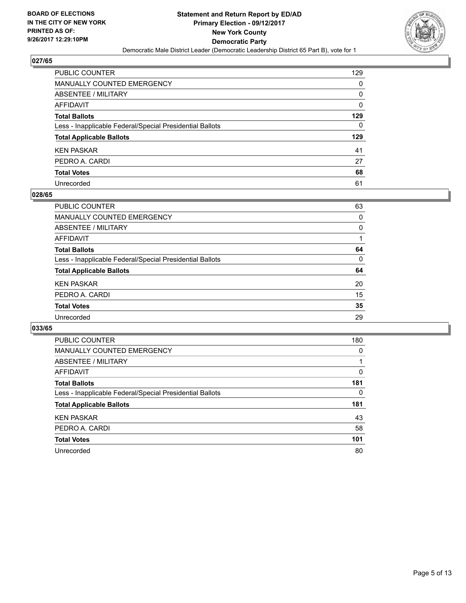

| PUBLIC COUNTER                                           | 129 |
|----------------------------------------------------------|-----|
| <b>MANUALLY COUNTED EMERGENCY</b>                        | 0   |
| ABSENTEE / MILITARY                                      | 0   |
| AFFIDAVIT                                                | 0   |
| <b>Total Ballots</b>                                     | 129 |
| Less - Inapplicable Federal/Special Presidential Ballots | 0   |
| <b>Total Applicable Ballots</b>                          | 129 |
| <b>KEN PASKAR</b>                                        | 41  |
| PEDRO A. CARDI                                           | 27  |
| <b>Total Votes</b>                                       | 68  |
| Unrecorded                                               | 61  |

#### **028/65**

| <b>PUBLIC COUNTER</b>                                    | 63 |
|----------------------------------------------------------|----|
| <b>MANUALLY COUNTED EMERGENCY</b>                        | 0  |
| ABSENTEE / MILITARY                                      | 0  |
| AFFIDAVIT                                                |    |
| <b>Total Ballots</b>                                     | 64 |
| Less - Inapplicable Federal/Special Presidential Ballots | 0  |
| <b>Total Applicable Ballots</b>                          | 64 |
| <b>KEN PASKAR</b>                                        | 20 |
| PEDRO A. CARDI                                           | 15 |
| <b>Total Votes</b>                                       | 35 |
| Unrecorded                                               | 29 |
|                                                          |    |

| <b>PUBLIC COUNTER</b>                                    | 180 |
|----------------------------------------------------------|-----|
| <b>MANUALLY COUNTED EMERGENCY</b>                        | 0   |
| <b>ABSENTEE / MILITARY</b>                               |     |
| AFFIDAVIT                                                | 0   |
| <b>Total Ballots</b>                                     | 181 |
| Less - Inapplicable Federal/Special Presidential Ballots | 0   |
| <b>Total Applicable Ballots</b>                          | 181 |
| <b>KEN PASKAR</b>                                        | 43  |
| PEDRO A. CARDI                                           | 58  |
| <b>Total Votes</b>                                       | 101 |
| Unrecorded                                               | 80  |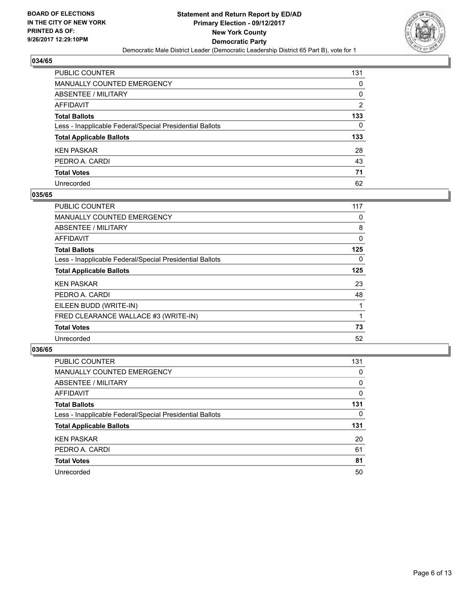

| PUBLIC COUNTER                                           | 131 |
|----------------------------------------------------------|-----|
| MANUALLY COUNTED EMERGENCY                               | 0   |
| ABSENTEE / MILITARY                                      | 0   |
| AFFIDAVIT                                                | 2   |
| <b>Total Ballots</b>                                     | 133 |
| Less - Inapplicable Federal/Special Presidential Ballots | 0   |
| <b>Total Applicable Ballots</b>                          | 133 |
| KEN PASKAR                                               | 28  |
| PEDRO A. CARDI                                           | 43  |
| <b>Total Votes</b>                                       | 71  |
| Unrecorded                                               | 62  |

#### **035/65**

| <b>PUBLIC COUNTER</b>                                    | 117 |
|----------------------------------------------------------|-----|
| <b>MANUALLY COUNTED EMERGENCY</b>                        | 0   |
| ABSENTEE / MILITARY                                      | 8   |
| AFFIDAVIT                                                | 0   |
| <b>Total Ballots</b>                                     | 125 |
| Less - Inapplicable Federal/Special Presidential Ballots | 0   |
| <b>Total Applicable Ballots</b>                          | 125 |
| <b>KEN PASKAR</b>                                        | 23  |
| PEDRO A. CARDI                                           | 48  |
| EILEEN BUDD (WRITE-IN)                                   |     |
| FRED CLEARANCE WALLACE #3 (WRITE-IN)                     |     |
| <b>Total Votes</b>                                       | 73  |
| Unrecorded                                               | 52  |

| <b>PUBLIC COUNTER</b>                                    | 131 |
|----------------------------------------------------------|-----|
| <b>MANUALLY COUNTED EMERGENCY</b>                        | 0   |
| ABSENTEE / MILITARY                                      | 0   |
| AFFIDAVIT                                                | 0   |
| <b>Total Ballots</b>                                     | 131 |
| Less - Inapplicable Federal/Special Presidential Ballots | 0   |
| <b>Total Applicable Ballots</b>                          | 131 |
| <b>KEN PASKAR</b>                                        | 20  |
| PEDRO A. CARDI                                           | 61  |
| <b>Total Votes</b>                                       | 81  |
| Unrecorded                                               | 50  |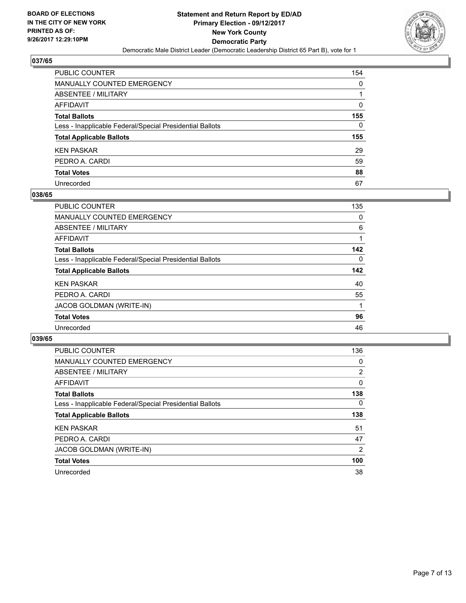

| PUBLIC COUNTER                                           | 154 |
|----------------------------------------------------------|-----|
| <b>MANUALLY COUNTED EMERGENCY</b>                        | 0   |
| ABSENTEE / MILITARY                                      |     |
| AFFIDAVIT                                                | 0   |
| <b>Total Ballots</b>                                     | 155 |
| Less - Inapplicable Federal/Special Presidential Ballots | 0   |
| <b>Total Applicable Ballots</b>                          | 155 |
| <b>KEN PASKAR</b>                                        | 29  |
| PEDRO A. CARDI                                           | 59  |
| <b>Total Votes</b>                                       | 88  |
| Unrecorded                                               | 67  |

#### **038/65**

| <b>PUBLIC COUNTER</b>                                    | 135 |
|----------------------------------------------------------|-----|
| MANUALLY COUNTED EMERGENCY                               | 0   |
| ABSENTEE / MILITARY                                      | 6   |
| <b>AFFIDAVIT</b>                                         |     |
| <b>Total Ballots</b>                                     | 142 |
| Less - Inapplicable Federal/Special Presidential Ballots | 0   |
| <b>Total Applicable Ballots</b>                          | 142 |
| <b>KEN PASKAR</b>                                        | 40  |
| PEDRO A. CARDI                                           | 55  |
| JACOB GOLDMAN (WRITE-IN)                                 |     |
| <b>Total Votes</b>                                       | 96  |
| Unrecorded                                               | 46  |

| <b>PUBLIC COUNTER</b>                                    | 136            |
|----------------------------------------------------------|----------------|
| <b>MANUALLY COUNTED EMERGENCY</b>                        | 0              |
| <b>ABSENTEE / MILITARY</b>                               | $\overline{2}$ |
| <b>AFFIDAVIT</b>                                         | $\mathbf{0}$   |
| <b>Total Ballots</b>                                     | 138            |
| Less - Inapplicable Federal/Special Presidential Ballots | $\Omega$       |
| <b>Total Applicable Ballots</b>                          | 138            |
| <b>KEN PASKAR</b>                                        | 51             |
| PEDRO A. CARDI                                           | 47             |
| JACOB GOLDMAN (WRITE-IN)                                 | $\overline{2}$ |
| <b>Total Votes</b>                                       | 100            |
| Unrecorded                                               | 38             |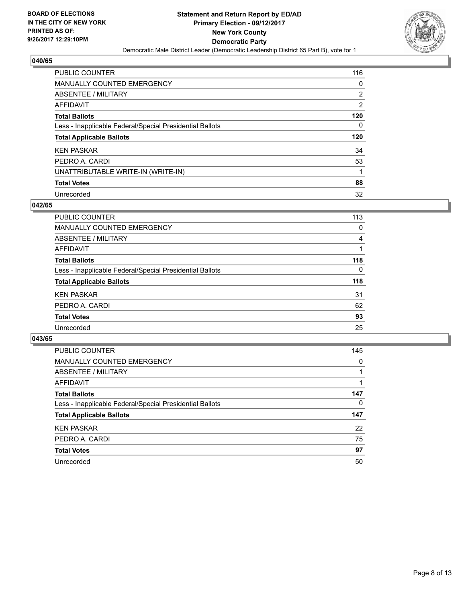

| PUBLIC COUNTER                                           | 116                   |
|----------------------------------------------------------|-----------------------|
| <b>MANUALLY COUNTED EMERGENCY</b>                        | 0                     |
| ABSENTEE / MILITARY                                      | $\mathbf{2}^{\prime}$ |
| AFFIDAVIT                                                | $\overline{2}$        |
| <b>Total Ballots</b>                                     | 120                   |
| Less - Inapplicable Federal/Special Presidential Ballots | 0                     |
| <b>Total Applicable Ballots</b>                          | 120                   |
| <b>KEN PASKAR</b>                                        | 34                    |
| PEDRO A. CARDI                                           | 53                    |
| UNATTRIBUTABLE WRITE-IN (WRITE-IN)                       |                       |
| <b>Total Votes</b>                                       | 88                    |
| Unrecorded                                               | 32                    |

#### **042/65**

| <b>PUBLIC COUNTER</b>                                    | 113      |
|----------------------------------------------------------|----------|
| MANUALLY COUNTED EMERGENCY                               | 0        |
| ABSENTEE / MILITARY                                      | 4        |
| <b>AFFIDAVIT</b>                                         |          |
| <b>Total Ballots</b>                                     | 118      |
| Less - Inapplicable Federal/Special Presidential Ballots | $\Omega$ |
| <b>Total Applicable Ballots</b>                          | 118      |
| <b>KEN PASKAR</b>                                        | 31       |
| PEDRO A. CARDI                                           | 62       |
| <b>Total Votes</b>                                       | 93       |
| Unrecorded                                               | 25       |

| <b>PUBLIC COUNTER</b>                                    | 145 |
|----------------------------------------------------------|-----|
| MANUALLY COUNTED EMERGENCY                               | 0   |
| ABSENTEE / MILITARY                                      |     |
| AFFIDAVIT                                                |     |
| <b>Total Ballots</b>                                     | 147 |
| Less - Inapplicable Federal/Special Presidential Ballots | 0   |
| <b>Total Applicable Ballots</b>                          | 147 |
| <b>KEN PASKAR</b>                                        | 22  |
| PEDRO A. CARDI                                           | 75  |
| <b>Total Votes</b>                                       | 97  |
| Unrecorded                                               | 50  |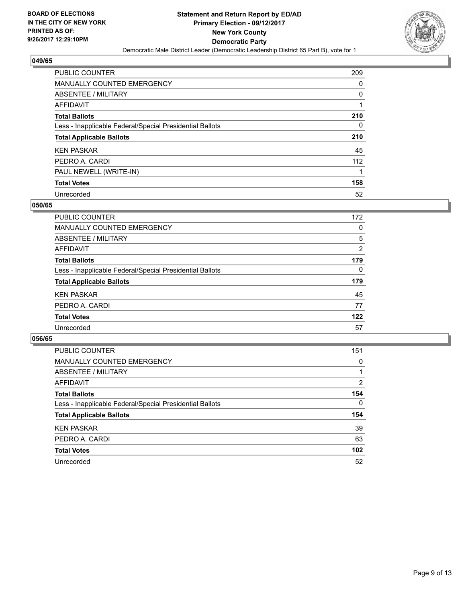

| <b>PUBLIC COUNTER</b>                                    | 209 |
|----------------------------------------------------------|-----|
| <b>MANUALLY COUNTED EMERGENCY</b>                        | 0   |
| ABSENTEE / MILITARY                                      | 0   |
| AFFIDAVIT                                                |     |
| <b>Total Ballots</b>                                     | 210 |
| Less - Inapplicable Federal/Special Presidential Ballots | 0   |
| <b>Total Applicable Ballots</b>                          | 210 |
| <b>KEN PASKAR</b>                                        | 45  |
| PEDRO A. CARDI                                           | 112 |
| PAUL NEWELL (WRITE-IN)                                   |     |
| <b>Total Votes</b>                                       | 158 |
| Unrecorded                                               | 52  |

#### **050/65**

| <b>PUBLIC COUNTER</b>                                    | 172 |
|----------------------------------------------------------|-----|
| MANUALLY COUNTED EMERGENCY                               | 0   |
| ABSENTEE / MILITARY                                      | 5   |
| AFFIDAVIT                                                | 2   |
| <b>Total Ballots</b>                                     | 179 |
| Less - Inapplicable Federal/Special Presidential Ballots | 0   |
| <b>Total Applicable Ballots</b>                          | 179 |
| <b>KEN PASKAR</b>                                        | 45  |
| PEDRO A. CARDI                                           | 77  |
| <b>Total Votes</b>                                       | 122 |
| Unrecorded                                               | 57  |

| <b>PUBLIC COUNTER</b>                                    | 151      |
|----------------------------------------------------------|----------|
| MANUALLY COUNTED EMERGENCY                               | 0        |
| ABSENTEE / MILITARY                                      |          |
| AFFIDAVIT                                                | 2        |
| <b>Total Ballots</b>                                     | 154      |
| Less - Inapplicable Federal/Special Presidential Ballots | $\Omega$ |
| <b>Total Applicable Ballots</b>                          | 154      |
| <b>KEN PASKAR</b>                                        | 39       |
| PEDRO A. CARDI                                           | 63       |
| <b>Total Votes</b>                                       | 102      |
| Unrecorded                                               | 52       |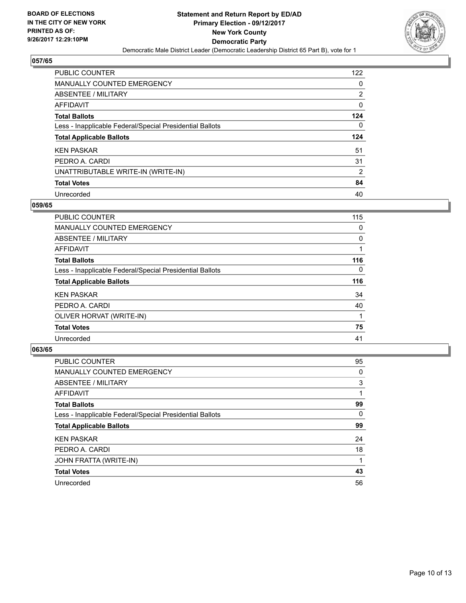

| PUBLIC COUNTER                                           | 122                   |
|----------------------------------------------------------|-----------------------|
| <b>MANUALLY COUNTED EMERGENCY</b>                        | 0                     |
| ABSENTEE / MILITARY                                      | $\mathbf{2}^{\prime}$ |
| AFFIDAVIT                                                | 0                     |
| <b>Total Ballots</b>                                     | 124                   |
| Less - Inapplicable Federal/Special Presidential Ballots | 0                     |
| <b>Total Applicable Ballots</b>                          | 124                   |
| <b>KEN PASKAR</b>                                        | 51                    |
| PEDRO A. CARDI                                           | 31                    |
| UNATTRIBUTABLE WRITE-IN (WRITE-IN)                       | 2                     |
|                                                          |                       |
| <b>Total Votes</b>                                       | 84                    |

#### **059/65**

| <b>PUBLIC COUNTER</b>                                    | 115      |
|----------------------------------------------------------|----------|
| <b>MANUALLY COUNTED EMERGENCY</b>                        | 0        |
| ABSENTEE / MILITARY                                      | 0        |
| AFFIDAVIT                                                |          |
| <b>Total Ballots</b>                                     | 116      |
| Less - Inapplicable Federal/Special Presidential Ballots | $\Omega$ |
| <b>Total Applicable Ballots</b>                          | 116      |
| <b>KEN PASKAR</b>                                        | 34       |
| PEDRO A. CARDI                                           | 40       |
| OLIVER HORVAT (WRITE-IN)                                 |          |
| <b>Total Votes</b>                                       | 75       |
| Unrecorded                                               | 41       |

| <b>PUBLIC COUNTER</b>                                    | 95 |
|----------------------------------------------------------|----|
| MANUALLY COUNTED EMERGENCY                               | 0  |
| ABSENTEE / MILITARY                                      | 3  |
| AFFIDAVIT                                                |    |
| <b>Total Ballots</b>                                     | 99 |
| Less - Inapplicable Federal/Special Presidential Ballots | 0  |
| <b>Total Applicable Ballots</b>                          | 99 |
| <b>KEN PASKAR</b>                                        | 24 |
| PEDRO A. CARDI                                           | 18 |
| JOHN FRATTA (WRITE-IN)                                   |    |
| <b>Total Votes</b>                                       | 43 |
| Unrecorded                                               | 56 |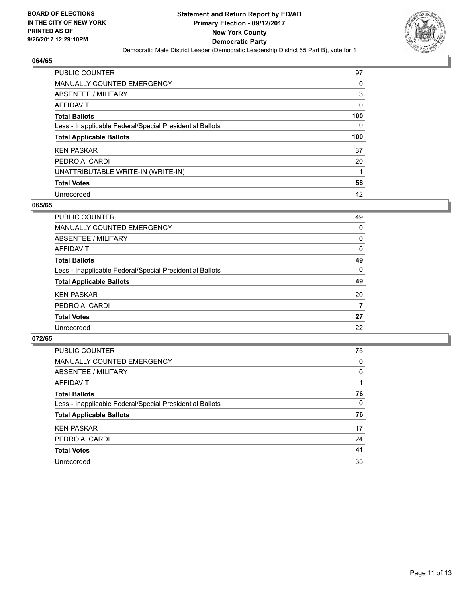

| PUBLIC COUNTER                                           | 97  |
|----------------------------------------------------------|-----|
| <b>MANUALLY COUNTED EMERGENCY</b>                        | 0   |
| ABSENTEE / MILITARY                                      | 3   |
| AFFIDAVIT                                                | 0   |
| <b>Total Ballots</b>                                     | 100 |
| Less - Inapplicable Federal/Special Presidential Ballots | 0   |
| <b>Total Applicable Ballots</b>                          | 100 |
|                                                          |     |
| <b>KEN PASKAR</b>                                        | 37  |
| PEDRO A. CARDI                                           | 20  |
| UNATTRIBUTABLE WRITE-IN (WRITE-IN)                       |     |
| <b>Total Votes</b>                                       | 58  |

#### **065/65**

| <b>PUBLIC COUNTER</b>                                    | 49       |
|----------------------------------------------------------|----------|
| MANUALLY COUNTED EMERGENCY                               | 0        |
| ABSENTEE / MILITARY                                      | 0        |
| AFFIDAVIT                                                | 0        |
| <b>Total Ballots</b>                                     | 49       |
| Less - Inapplicable Federal/Special Presidential Ballots | $\Omega$ |
| <b>Total Applicable Ballots</b>                          | 49       |
| <b>KEN PASKAR</b>                                        | 20       |
| PEDRO A. CARDI                                           | 7        |
| <b>Total Votes</b>                                       | 27       |
| Unrecorded                                               | 22       |

| PUBLIC COUNTER                                           | 75 |
|----------------------------------------------------------|----|
| MANUALLY COUNTED EMERGENCY                               | 0  |
| ABSENTEE / MILITARY                                      | 0  |
| AFFIDAVIT                                                |    |
| <b>Total Ballots</b>                                     | 76 |
| Less - Inapplicable Federal/Special Presidential Ballots | 0  |
| <b>Total Applicable Ballots</b>                          | 76 |
| <b>KEN PASKAR</b>                                        | 17 |
| PEDRO A. CARDI                                           | 24 |
| <b>Total Votes</b>                                       | 41 |
| Unrecorded                                               | 35 |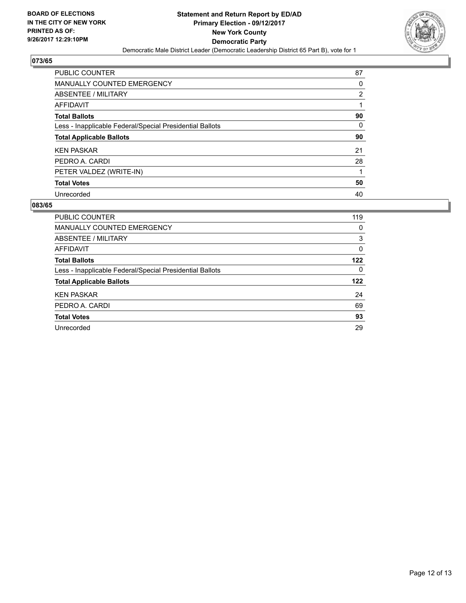

| <b>PUBLIC COUNTER</b>                                    | 87                    |
|----------------------------------------------------------|-----------------------|
| <b>MANUALLY COUNTED EMERGENCY</b>                        | 0                     |
| ABSENTEE / MILITARY                                      | $\mathbf{2}^{\prime}$ |
| AFFIDAVIT                                                |                       |
| <b>Total Ballots</b>                                     | 90                    |
| Less - Inapplicable Federal/Special Presidential Ballots | 0                     |
| <b>Total Applicable Ballots</b>                          | 90                    |
| <b>KEN PASKAR</b>                                        | 21                    |
| PEDRO A. CARDI                                           | 28                    |
| PETER VALDEZ (WRITE-IN)                                  |                       |
| <b>Total Votes</b>                                       | 50                    |
| Unrecorded                                               | 40                    |

| PUBLIC COUNTER                                           | 119 |
|----------------------------------------------------------|-----|
| <b>MANUALLY COUNTED EMERGENCY</b>                        | 0   |
| <b>ABSENTEE / MILITARY</b>                               | 3   |
| AFFIDAVIT                                                | 0   |
| <b>Total Ballots</b>                                     | 122 |
| Less - Inapplicable Federal/Special Presidential Ballots | 0   |
| <b>Total Applicable Ballots</b>                          | 122 |
| <b>KEN PASKAR</b>                                        | 24  |
| PEDRO A. CARDI                                           | 69  |
| <b>Total Votes</b>                                       | 93  |
| Unrecorded                                               | 29  |